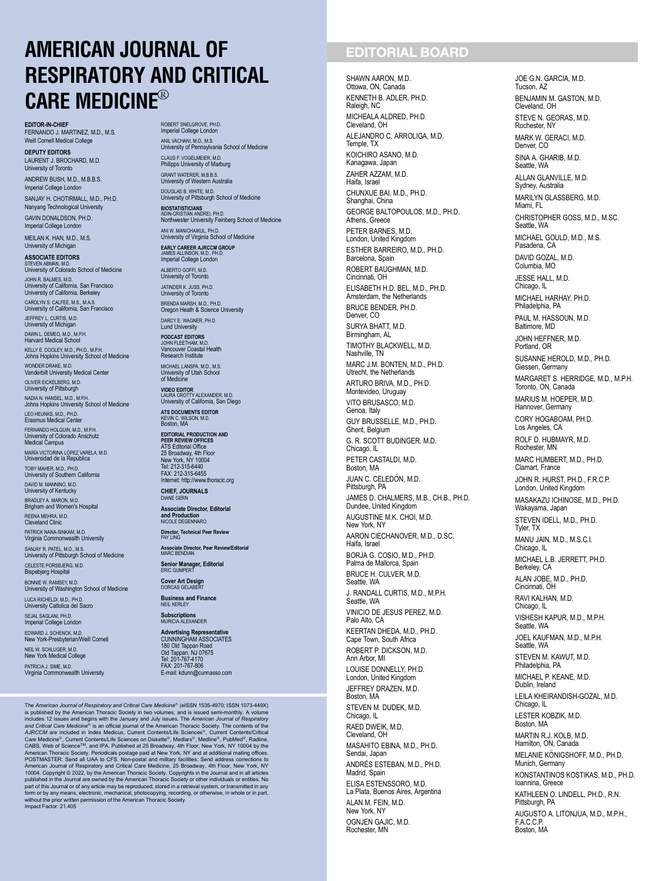# AMERICAN JOURNAL OF RESPIRATORY AND CRITICAL **CARE MEDICINE®**

EDITOR-IN-CHIEF FERNANDO J. MARTINEZ, M.D., M.S. Weill Cornell Medical College

DEPUTY EDITORS LAURENT J. BROCHARD, M.D. University of Toronto

ANDREW BUSH, M.D., M.B.B.S. Imperial College London

SANJAY H. CHOTIRMALL, M.D., PH.D. Nanyang Technological University GAVIN DONALDSON, PH.D. Imperial College London

MEILAN K. HAN, M.D., M.S. University of Michigan

ASSOCIATE EDITORS STEVEN ABMAN, M.D. University of Colorado School of Medicine JOHN R. BALMES, M.D. University of California, San Francisco University of California, Berkeley CAROLYN S. CALFEE, M.S., M.A.S. University of California, San Francisco

JEFFREY L. CURTIS, M.D. University of Michigan

DAWN L. DEMEO, M.D., M.P.H. Harvard Medical School

KELLY E. DOOLEY, M.D., PH.D., M.P.H. Johns Hopkins University School of Medicine WONDER DRAKE, M.D. Vanderbilt University Medical Center OLIVER EICKELBERG, M.D. University of Pittsburgh NADIA N. HANSEL, M.D., M.P.H.

Johns Hopkins University School of Medicine

LEO HEUNKS, M.D., PH.D. Erasmus Medical Center FERNANDO HOLGUIN, M.D., M.P.H. University of Colorado Anschutz Medical Campus

MARÍA VICTORINA LÓPEZ VARELA, M.D. Universidad de la Republica

TOBY MAHER, M.D., PH.D. University of Southern California

DAVID M. MANNINO, M.D. University of Kentucky BRADLEY A. MARON, M.D. Brigham and Women's Hospital

REENA MEHRA, M.D. Cleveland Clinic

PATRICK NANA-SINKAM, M.D. Virginia Commonwealth University

SANJAY R. PATEL, M.D., M.S. University of Pittsburgh School of Medicine CELESTE PORSBJERG, M.D. Bispebjerg Hospital

BONNIE W. RAMSEY, M.D. University of Washington School of Medicine

LUCA RICHELDI, M.D., PH.D. University Cattolica del Sacro

SEJAL SAGLANI, PH.D. Imperial College London

EDWARD J. SCHENCK, M.D. New York-Presbyterian/Weill Cornell NEIL W. SCHLUGER, M.D.

New York Medical College

PATRICIA J. SIME, M.D. Virginia Commonwealth University

ROBERT SNELGROVE, PH.D. Imperial College London ANIL VACHANI, M.D., M.S. University of Pennsylvania School of Medicine

CLAUS F. VOGELMEIER, M.D. Philipps University of Marburg

GRANT WATERER, M.B.B.S. University of Western Australia

DOUGLAS B. WHITE, M.D. University of Pittsburgh School of Medicine BIOSTATISTICIANS ADIN-CRISTIAN ANDREI, PH.D. Northwester University Feinberg School of Medicine

ANI W. MANICHAIKUL, PH.D. University of Virginia School of Medicine EARLY CAREER AJRCCM GROUP JAMES ALLINSON, M.D., PH.D. Imperial College London

ALBERTO GOFFI, M.D. University of Toronto

JATINDER K. JUSS, PH.D. University of Toron

BRENDA MARSH, M.D., PH.D. Oregon Heath & Science University DARCY E. WAGNER, PH.D.

Lund University PODCAST EDITORS JOHN FLEETHAM, M.D. Vancouver Coastal Health Research Institute

MICHAEL LANSPA, M.D., M.S. University of Utah School of Medicine

VIDEO EDITOR LAURA CROTTY ALEXANDER, M.D. University of California, San Diego ATS DOCUMENTS EDITOR

KEVIN C. WILSON, M.D. Boston, MA

EDITORIAL PRODUCTION AND PEER REVIEW OFFICES ATS Editorial Office 25 Broadway, 4th Floor New York, NY 10004 Tel: 212-315-6440 FAX: 212-315-6455 Internet: http://www.thoracic.org CHIEF, JOURNALS

DIANE GERN Associate Director, Editorial

and Production NICOLE DEGENNARO Director, Technical Peer Review FAY LING

Associate Director, Peer Review/Editorial MARC BENDIAN

Senior Manager, Editorial<br>ERIC GUMPERT

Cover Art Design DORCAS GELABERT

Business and Finance NEIL KERLEY

Subscriptions MURICIA ALEXANDER

Advertising Representative CUNNINGHAM ASSOCIATES 180 Old Tappan Road Old Tappan, NJ 07675 Tel: 201-767-4170 FAX: 201-767-806 E-mail: kdunn@cunnasso.com

The American Journal of Respiratory and Critical Care Medicine® (eISSN 1535-4970; ISSN 1073-449X)<br>is published by the American Thoracic Society in two volumes, and is issued semi-monthly. A volume<br>includes 12 issues and be

## EDITORIAL BOARD

SHAWN AARON, M.D. Ottowa, ON, Canada KENNETH B. ADLER, PH.D. Raleigh, NC MICHEALA ALDRED, PH.D. Cleveland, OH ALEJANDRO C. ARROLIGA, M.D. Temple, TX KOICHIRO ASANO, M.D. Kanagawa, Japan ZAHER AZZAM, M.D. Haifa, Israel CHUNXUE BAI, M.D., PH.D. Shanghai, China GEORGE BALTOPOULOS, M.D., PH.D. Athens, Greece PETER BARNES, M.D. London, United Kingdom ESTHER BARREIRO, M.D., PH.D. Barcelona, Spain ROBERT BAUGHMAN, M.D. Cincinnati, OH ELISABETH H.D. BEL, M.D., PH.D. Amsterdam, the Netherlands BRUCE BENDER, PH.D. Denver<sub>CO</sub> SURYA BHATT, M.D. Birmingham, AL TIMOTHY BLACKWELL, M.D. Nashville, TN MARC J.M. BONTEN, M.D., PH.D. Utrecht, the Netherlands ARTURO BRIVA, M.D., PH.D. Montevideo, Uruguay VITO BRUSASCO, M.D. Genoa, Italy GUY BRUSSELLE, M.D., PH.D. Ghent, Belgium G. R. SCOTT BUDINGER, M.D. Chicago, IL PETER CASTALDI, M.D. Boston, MA JUAN C. CELEDÓN, M.D. Pittsburgh, PA JAMES D. CHALMERS, M.B., CH.B., PH.D. Dundee, United Kingdom AUGUSTINE M.K. CHOI, M.D. New York, NY AARON CIECHANOVER, M.D., D.SC. Haifa, Israel BORJA G. COSIO, M.D., PH.D. Palma de Mallorca, Spain BRUCE H. CULVER, M.D. Seattle, WA J. RANDALL CURTIS, M.D., M.P.H. Seattle, WA VINICIO DE JESUS PEREZ, M.D. Palo Alto, CA KEERTAN DHEDA, M.D., PH.D. Cape Town, South Africa ROBERT P. DICKSON, M.D. Ann Arbor, MI LOUISE DONNELLY, PH.D. London, United Kingdom JEFFREY DRAZEN, M.D. Boston, MA STEVEN M. DUDEK, M.D. Chicago, IL RAED DWEIK, M.D. Cleveland, OH MASAHITO EBINA, M.D., PH.D. Sendai, Japan ANDR ES ESTEBAN, M.D., PH.D. Madrid, Spain ELISA ESTENSSORO, M.D. La Plata, Buenos Aires, Argentina ALAN M. FEIN, M.D. New York, NY OGNJEN GAJIC, M.D. Rochester, MN

JOE G.N. GARCIA, M.D. Tucson, AZ BENJAMIN M. GASTON, M.D. Cleveland, OH STEVE N. GEORAS, M.D. Rochester, NY MARK W. GERACI, M.D. Denver, CO SINA A. GHARIB, M.D. Seattle, WA ALLAN GLANVILLE, M.D. Sydney, Australia MARILYN GLASSBERG, M.D. Miami, FL CHRISTOPHER GOSS, M.D., M.SC. Seattle, WA MICHAEL GOULD, M.D., M.S. Pasadena, CA DAVID GOZAL, M.D. Columbia, MO JESSE HALL, M.D. Chicago, IL MICHAEL HARHAY, PH.D. Philadelphia, PA PAUL M. HASSOUN, M.D. Baltimore, MD JOHN HEFFNER, M.D. Portland, OR SUSANNE HEROLD, M.D., PH.D. Giessen, Germany MARGARET S. HERRIDGE, M.D., M.P.H. Toronto, ON, Canada MARIUS M. HOEPER, M.D. Hannover, Germany CORY HOGABOAM, PH.D. Los Angeles, CA ROLF D. HUBMAYR, M.D. Rochester, MN MARC HUMBERT, M.D., PH.D. Clamart, France JOHN R. HURST, PH.D., F.R.C.P. London, United Kingdom MASAKAZU ICHINOSE, M.D., PH.D. Wakayama, Japan STEVEN IDELL, M.D., PH.D. Tyler, TX MANU JAIN, M.D., M.S.C.I. Chicago, IL MICHAEL L.B. JERRETT, PH.D. Berkeley, CA ALAN JOBE, M.D., PH.D. Cincinnati, OH RAVI KALHAN, M.D. Chicago, IL VISHESH KAPUR, M.D., M.P.H. Seattle, WA JOEL KAUFMAN, M.D., M.P.H. Seattle, WA STEVEN M. KAWUT, M.D. Philadelphia, PA MICHAEL P. KEANE, M.D. Dublin, Ireland LEILA KHEIRANDISH-GOZAL, M.D. Chicago, IL LESTER KOBZIK, M.D. Boston, MA MARTIN R.J. KOLB, M.D. Hamilton, ON, Canada MELANIE KÖNIGSHOFF, M.D., PH.D. Munich, Germany KONSTANTINOS KOSTIKAS, M.D., PH.D. Ioannina, Greece KATHLEEN O. LINDELL, PH.D., R.N. Pittsburgh, PA AUGUSTO A. LITONJUA, M.D., M.P.H., F.A.C.C.P. Boston, MA